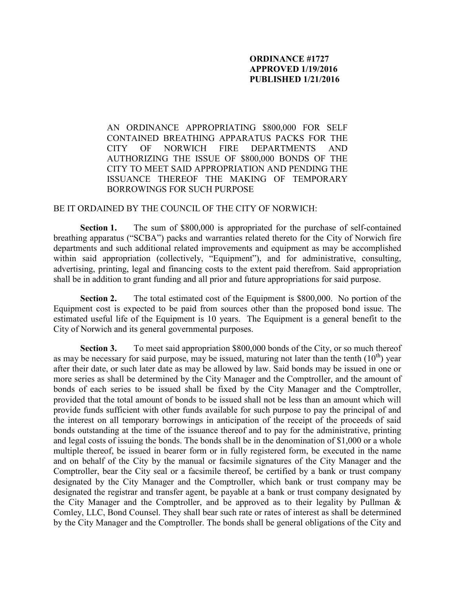## **ORDINANCE #1727 APPROVED 1/19/2016 PUBLISHED 1/21/2016**

AN ORDINANCE APPROPRIATING \$800,000 FOR SELF CONTAINED BREATHING APPARATUS PACKS FOR THE CITY OF NORWICH FIRE DEPARTMENTS AND AUTHORIZING THE ISSUE OF \$800,000 BONDS OF THE CITY TO MEET SAID APPROPRIATION AND PENDING THE ISSUANCE THEREOF THE MAKING OF TEMPORARY BORROWINGS FOR SUCH PURPOSE

## BE IT ORDAINED BY THE COUNCIL OF THE CITY OF NORWICH:

**Section 1.** The sum of \$800,000 is appropriated for the purchase of self-contained breathing apparatus ("SCBA") packs and warranties related thereto for the City of Norwich fire departments and such additional related improvements and equipment as may be accomplished within said appropriation (collectively, "Equipment"), and for administrative, consulting, advertising, printing, legal and financing costs to the extent paid therefrom. Said appropriation shall be in addition to grant funding and all prior and future appropriations for said purpose.

**Section 2.** The total estimated cost of the Equipment is \$800,000. No portion of the Equipment cost is expected to be paid from sources other than the proposed bond issue. The estimated useful life of the Equipment is 10 years. The Equipment is a general benefit to the City of Norwich and its general governmental purposes.

**Section 3.** To meet said appropriation \$800,000 bonds of the City, or so much thereof as may be necessary for said purpose, may be issued, maturing not later than the tenth  $(10^{th})$  year after their date, or such later date as may be allowed by law. Said bonds may be issued in one or more series as shall be determined by the City Manager and the Comptroller, and the amount of bonds of each series to be issued shall be fixed by the City Manager and the Comptroller, provided that the total amount of bonds to be issued shall not be less than an amount which will provide funds sufficient with other funds available for such purpose to pay the principal of and the interest on all temporary borrowings in anticipation of the receipt of the proceeds of said bonds outstanding at the time of the issuance thereof and to pay for the administrative, printing and legal costs of issuing the bonds. The bonds shall be in the denomination of \$1,000 or a whole multiple thereof, be issued in bearer form or in fully registered form, be executed in the name and on behalf of the City by the manual or facsimile signatures of the City Manager and the Comptroller, bear the City seal or a facsimile thereof, be certified by a bank or trust company designated by the City Manager and the Comptroller, which bank or trust company may be designated the registrar and transfer agent, be payable at a bank or trust company designated by the City Manager and the Comptroller, and be approved as to their legality by Pullman  $\&$ Comley, LLC, Bond Counsel. They shall bear such rate or rates of interest as shall be determined by the City Manager and the Comptroller. The bonds shall be general obligations of the City and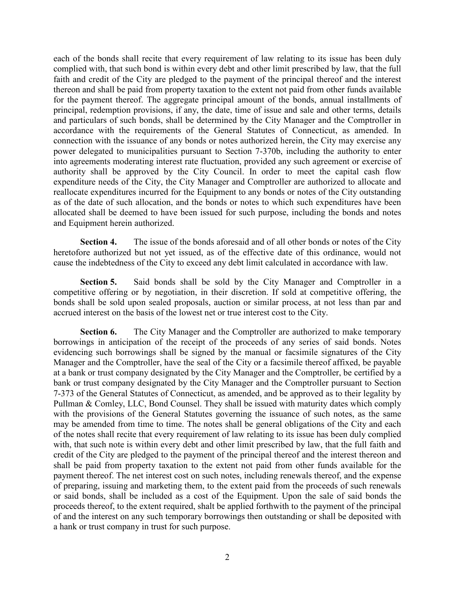each of the bonds shall recite that every requirement of law relating to its issue has been duly complied with, that such bond is within every debt and other limit prescribed by law, that the full faith and credit of the City are pledged to the payment of the principal thereof and the interest thereon and shall be paid from property taxation to the extent not paid from other funds available for the payment thereof. The aggregate principal amount of the bonds, annual installments of principal, redemption provisions, if any, the date, time of issue and sale and other terms, details and particulars of such bonds, shall be determined by the City Manager and the Comptroller in accordance with the requirements of the General Statutes of Connecticut, as amended. In connection with the issuance of any bonds or notes authorized herein, the City may exercise any power delegated to municipalities pursuant to Section 7-370b, including the authority to enter into agreements moderating interest rate fluctuation, provided any such agreement or exercise of authority shall be approved by the City Council. In order to meet the capital cash flow expenditure needs of the City, the City Manager and Comptroller are authorized to allocate and reallocate expenditures incurred for the Equipment to any bonds or notes of the City outstanding as of the date of such allocation, and the bonds or notes to which such expenditures have been allocated shall be deemed to have been issued for such purpose, including the bonds and notes and Equipment herein authorized.

**Section 4.** The issue of the bonds aforesaid and of all other bonds or notes of the City heretofore authorized but not yet issued, as of the effective date of this ordinance, would not cause the indebtedness of the City to exceed any debt limit calculated in accordance with law.

**Section 5.** Said bonds shall be sold by the City Manager and Comptroller in a competitive offering or by negotiation, in their discretion. If sold at competitive offering, the bonds shall be sold upon sealed proposals, auction or similar process, at not less than par and accrued interest on the basis of the lowest net or true interest cost to the City.

**Section 6.** The City Manager and the Comptroller are authorized to make temporary borrowings in anticipation of the receipt of the proceeds of any series of said bonds. Notes evidencing such borrowings shall be signed by the manual or facsimile signatures of the City Manager and the Comptroller, have the seal of the City or a facsimile thereof affixed, be payable at a bank or trust company designated by the City Manager and the Comptroller, be certified by a bank or trust company designated by the City Manager and the Comptroller pursuant to Section 7-373 of the General Statutes of Connecticut, as amended, and be approved as to their legality by Pullman & Comley, LLC, Bond Counsel. They shall be issued with maturity dates which comply with the provisions of the General Statutes governing the issuance of such notes, as the same may be amended from time to time. The notes shall be general obligations of the City and each of the notes shall recite that every requirement of law relating to its issue has been duly complied with, that such note is within every debt and other limit prescribed by law, that the full faith and credit of the City are pledged to the payment of the principal thereof and the interest thereon and shall be paid from property taxation to the extent not paid from other funds available for the payment thereof. The net interest cost on such notes, including renewals thereof, and the expense of preparing, issuing and marketing them, to the extent paid from the proceeds of such renewals or said bonds, shall be included as a cost of the Equipment. Upon the sale of said bonds the proceeds thereof, to the extent required, shalt be applied forthwith to the payment of the principal of and the interest on any such temporary borrowings then outstanding or shall be deposited with a hank or trust company in trust for such purpose.